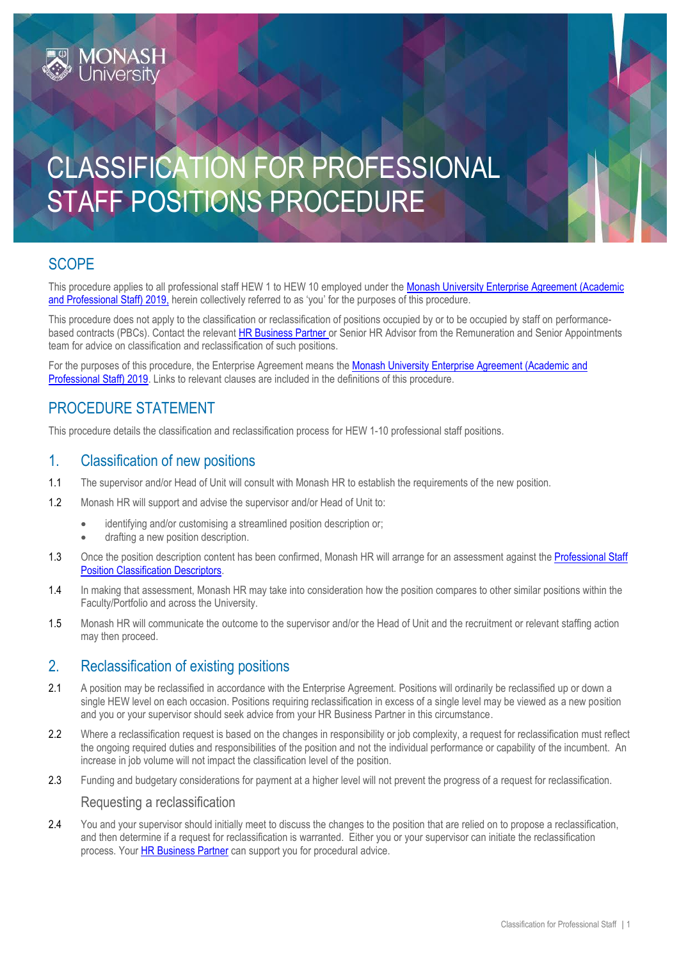# CLASSIFICATION FOR PROFESSIONAL STAFF POSITIONS PROCEDURE

## **SCOPE**

This procedure applies to all professional staff HEW 1 to HEW 10 employed under the Monash University Enterprise Agreement (Academic [and Professional Staff\) 2019,](https://www.monash.edu/current-enterprise-agreements/academic-professional-2019) herein collectively referred to as 'you' for the purposes of this procedure.

This procedure does not apply to the classification or reclassification of positions occupied by or to be occupied by staff on performancebased contracts (PBCs). Contact the relevan[t HR Business Partner](https://www.intranet.monash/hr/contact-us/hr-business-partners) or Senior HR Advisor from the Remuneration and Senior Appointments team for advice on classification and reclassification of such positions.

For the purposes of this procedure, the Enterprise Agreement means the [Monash University Enterprise Agreement \(Academic and](https://www.monash.edu/current-enterprise-agreements/academic-professional-2019) [Professional Staff\) 2019.](https://www.monash.edu/current-enterprise-agreements/academic-professional-2019) Links to relevant clauses are included in the definitions of this procedure.

## PROCEDURE STATEMENT

This procedure details the classification and reclassification process for HEW 1-10 professional staff positions.

### 1. Classification of new positions

- 1.1 The supervisor and/or Head of Unit will consult with Monash HR to establish the requirements of the new position.
- 1.2 Monash HR will support and advise the supervisor and/or Head of Unit to:
	- identifying and/or customising a streamlined position description or;
	- drafting a new position description.
- 1.3 Once the position description content has been confirmed. Monash HR will arrange for an assessment against the Professional Staff [Position Classification Descriptors.](https://www.monash.edu/current-enterprise-agreements/academic-professional-2019#104)
- 1.4 In making that assessment, Monash HR may take into consideration how the position compares to other similar positions within the Faculty/Portfolio and across the University.
- 1.5 Monash HR will communicate the outcome to the supervisor and/or the Head of Unit and the recruitment or relevant staffing action may then proceed.

## 2. Reclassification of existing positions

- 2.1 A position may be reclassified in accordance with the Enterprise Agreement. Positions will ordinarily be reclassified up or down a single HEW level on each occasion. Positions requiring reclassification in excess of a single level may be viewed as a new position and you or your supervisor should seek advice from your HR Business Partner in this circumstance.
- 2.2 Where a reclassification request is based on the changes in responsibility or job complexity, a request for reclassification must reflect the ongoing required duties and responsibilities of the position and not the individual performance or capability of the incumbent. An increase in job volume will not impact the classification level of the position.
- 2.3 Funding and budgetary considerations for payment at a higher level will not prevent the progress of a request for reclassification.

#### Requesting a reclassification

2.4 You and your supervisor should initially meet to discuss the changes to the position that are relied on to propose a reclassification, and then determine if a request for reclassification is warranted. Either you or your supervisor can initiate the reclassification process. Your [HR Business Partner](https://www.intranet.monash/hr/contact-us/hr-business-partners) can support you for procedural advice.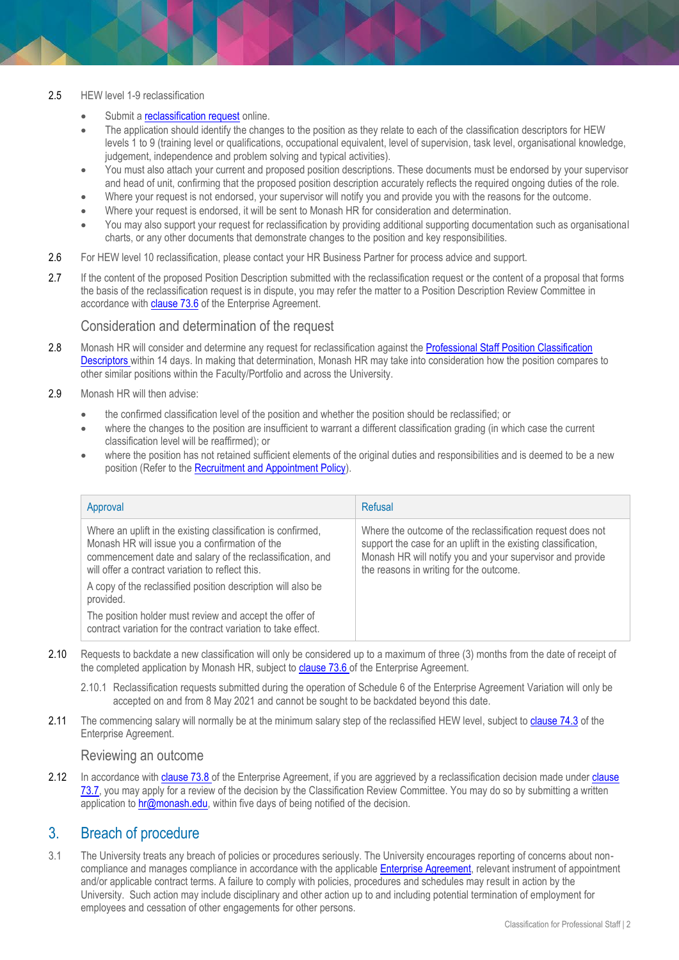#### 2.5 HEW level 1-9 reclassification

- Submit a **reclassification request** online.
- The application should identify the changes to the position as they relate to each of th[e classification descriptors](http://www.monash.edu/__data/assets/word_doc/0007/690442/descriptors.doc) for HEW levels 1 to 9 (training level or qualifications, occupational equivalent, level of supervision, task level, organisational knowledge, judgement, independence and problem solving and typical activities).
- You must also attach your current and proposed position descriptions. These documents must be endorsed by your supervisor and head of unit, confirming that the proposed position description accurately reflects the required ongoing duties of the role.
- Where your request is not endorsed, your supervisor will notify you and provide you with the reasons for the outcome.
- Where your request is endorsed, it will be sent to Monash HR for consideration and determination.
- You may also support your request for reclassification by providing additional supporting documentation such as organisational charts, or any other documents that demonstrate changes to the position and key responsibilities.
- 2.6 For HEW level 10 reclassification, please contact your HR Business Partner for process advice and support.
- 2.7 If the content of the proposed Position Description submitted with the reclassification request or the content of a proposal that forms the basis of the reclassification request is in dispute, you may refer the matter to a Position Description Review Committee in accordance wit[h clause 73.6](https://www.monash.edu/current-enterprise-agreements/academic-professional-2019#73) of the Enterprise Agreement.

#### Consideration and determination of the request

- 2.8 Monash HR will consider and determine any request for reclassification against the Professional Staff Position Classification [Descriptors](https://www.monash.edu/current-enterprise-agreements/academic-professional-2019#104) within 14 days. In making that determination, Monash HR may take into consideration how the position compares to other similar positions within the Faculty/Portfolio and across the University.
- 2.9 Monash HR will then advise:
	- the confirmed classification level of the position and whether the position should be reclassified; or
	- where the changes to the position are insufficient to warrant a different classification grading (in which case the current classification level will be reaffirmed); or
	- where the position has not retained sufficient elements of the original duties and responsibilities and is deemed to be a new position (Refer to th[e Recruitment and Appointment Policy\)](https://publicpolicydms.monash.edu/Monash/documents/1935714).

| Approval                                                                                                                                                                                                                        | Refusal                                                                                                                                                                                                                              |
|---------------------------------------------------------------------------------------------------------------------------------------------------------------------------------------------------------------------------------|--------------------------------------------------------------------------------------------------------------------------------------------------------------------------------------------------------------------------------------|
| Where an uplift in the existing classification is confirmed,<br>Monash HR will issue you a confirmation of the<br>commencement date and salary of the reclassification, and<br>will offer a contract variation to reflect this. | Where the outcome of the reclassification request does not<br>support the case for an uplift in the existing classification,<br>Monash HR will notify you and your supervisor and provide<br>the reasons in writing for the outcome. |
| A copy of the reclassified position description will also be<br>provided.                                                                                                                                                       |                                                                                                                                                                                                                                      |
| The position holder must review and accept the offer of<br>contract variation for the contract variation to take effect.                                                                                                        |                                                                                                                                                                                                                                      |

- 2.10 Requests to backdate a new classification will only be considered up to a maximum of three (3) months from the date of receipt of the completed application by Monash HR, subject to [clause 73.6](https://www.monash.edu/current-enterprise-agreements/academic-professional-2019#73) of the Enterprise Agreement.
	- 2.10.1 Reclassification requests submitted during the operation of Schedule 6 of the Enterprise Agreement Variation will only be accepted on and from 8 May 2021 and cannot be sought to be backdated beyond this date.
- 2.11 The commencing salary will normally be at the minimum salary step of the reclassified HEW level, subject to [clause](https://www.monash.edu/current-enterprise-agreements/academic-professional-2019#74) 74.3 of the Enterprise Agreement.

#### Reviewing an outcome

2.12 In accordance wit[h clause 73.8](https://www.monash.edu/current-enterprise-agreements/academic-professional-2019#73) of the Enterprise Agreement, if you are aggrieved by a reclassification decision made under clause [73.7,](https://www.monash.edu/current-enterprise-agreements/academic-professional-2019#73) you may apply for a review of the decision by the Classification Review Committee. You may do so by submitting a written application to **hr@monash.edu**, within five days of being notified of the decision.

## 3. Breach of procedure

3.1 The University treats any breach of policies or procedures seriously. The University encourages reporting of concerns about noncompliance and manages compliance in accordance with the applicabl[e Enterprise Agreement,](https://www.monash.edu/current-enterprise-agreements) relevant instrument of appointment and/or applicable contract terms. A failure to comply with policies, procedures and schedules may result in action by the University. Such action may include disciplinary and other action up to and including potential termination of employment for employees and cessation of other engagements for other persons.